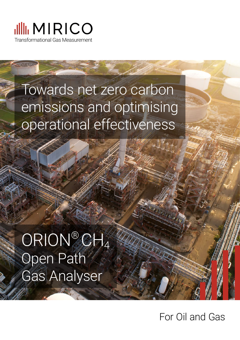

# Towards net zero carbon emissions and optimising operational effectiveness

# ORION® CH4 Open Path Gas Analyser

For Oil and Gas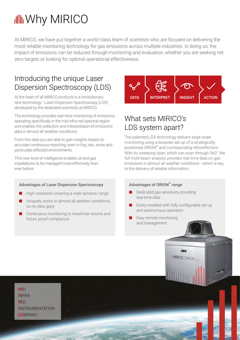## **Ill** Why MIRICO

At MIRICO, we have put together a world-class team of scientists who are focused on delivering the most reliable monitoring technology for gas emissions across multiple industries. In doing so, the impact of emissions can be reduced through monitoring and evaluation, whether you are seeking net zero targets or looking for optimal operational effectiveness.

#### Introducing the unique Laser Dispersion Spectroscopy (LDS)

At the heart of all MIRICO products is a revolutionary new technology - Laser Dispersion Spectroscopy (LDS) developed by the dedicated scientists at MIRICO.

The technology provides real-time monitoring of emissions, operating specifically in the mid infra-red spectral region and enables the collection and interpretation of emissions data in almost all weather conditions.

From this data you are able to gain insights based on accurate continuous reporting, even in fog, rain, snow and particulate affected environments.

This new level of intelligence enables oil and gas installations to be managed more effectively than ever before.

#### Advantages of Laser Dispersion Spectroscopy

- High resolution covering a wide dynamic range
- Uniquely works in almost all weather conditions, so no data gaps
- Continuous monitoring to maximise returns and future-proof compliance



## What sets MIRICO's LDS system apart?

The patented LDS technology delivers large scale monitoring using a bespoke set-up of a strategically positioned ORION® and corresponding retroreflectors. With its sweeping laser, which can scan through 360°, the full multi beam analysis provides real-time data on gas emissions in almost all weather conditions - which is key to the delivery of reliable information.

#### Advantages of ORION® range

- Dedicated gas sensitivity providing real-time data
- Easily installed with fully configurable set-up and autonomous operation

MIRICO ORIONCH

Easy remote monitoring and management

**M**ID **I**NFRA **R**ED **I**NSTRUMENTATION **CO**MPANY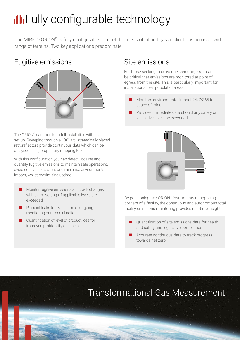## **Ill** Fully configurable technology

The MIRICO ORION® is fully configurable to meet the needs of oil and gas applications across a wide range of terrains. Two key applications predominate:

### Fugitive emissions



The ORION® can monitor a full installation with this set-up. Sweeping through a 180° arc, strategically placed retroreflectors provide continuous data which can be analysed using proprietary mapping tools.

With this configuration you can detect, localise and quantify fugitive emissions to maintain safe operations, avoid costly false alarms and minimise environmental impact, whilst maximising uptime.

- Monitor fugitive emissions and track changes with alarm settings if applicable levels are exceeded
- Pinpoint leaks for evaluation of ongoing monitoring or remedial action
- Quantification of level of product loss for improved profitability of assets

### Site emissions

For those seeking to deliver net zero targets, it can be critical that emissions are monitored at point of egress from the site. This is particularly important for installations near populated areas.

- Monitors environmental impact 24/7/365 for peace of mind
- Provides immediate data should any safety or legislative levels be exceeded



By positioning two ORION® instruments at opposing corners of a facility, the continuous and autonomous total facility emissions monitoring provides real-time insights.

- Ouantification of site emissions data for health and safety and legislative compliance
- Accurate continuous data to track progress towards net zero

## Transformational Gas Measurement